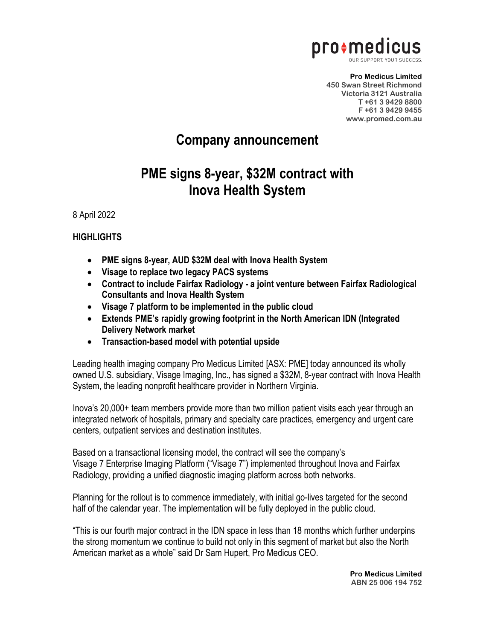

**Pro Medicus Limited 450 Swan Street Richmond Victoria 3121 Australia T +61 3 9429 8800 F +61 3 9429 9455 www.promed.com.au**

## **Company announcement**

## **PME signs 8-year, \$32M contract with Inova Health System**

8 April 2022

## **HIGHLIGHTS**

- **PME signs 8-year, AUD \$32M deal with Inova Health System**
- **Visage to replace two legacy PACS systems**
- **Contract to include Fairfax Radiology - a joint venture between Fairfax Radiological Consultants and Inova Health System**
- **Visage 7 platform to be implemented in the public cloud**
- **Extends PME's rapidly growing footprint in the North American IDN (Integrated Delivery Network market**
- **Transaction-based model with potential upside**

Leading health imaging company Pro Medicus Limited [ASX: PME] today announced its wholly owned U.S. subsidiary, Visage Imaging, Inc., has signed a \$32M, 8-year contract with Inova Health System, the leading nonprofit healthcare provider in Northern Virginia.

Inova's 20,000+ team members provide more than two million patient visits each year through an integrated network of hospitals, primary and specialty care practices, emergency and urgent care centers, outpatient services and destination institutes.

Based on a transactional licensing model, the contract will see the company's Visage 7 Enterprise Imaging Platform ("Visage 7") implemented throughout Inova and Fairfax Radiology, providing a unified diagnostic imaging platform across both networks.

Planning for the rollout is to commence immediately, with initial go-lives targeted for the second half of the calendar year. The implementation will be fully deployed in the public cloud.

"This is our fourth major contract in the IDN space in less than 18 months which further underpins the strong momentum we continue to build not only in this segment of market but also the North American market as a whole" said Dr Sam Hupert, Pro Medicus CEO.